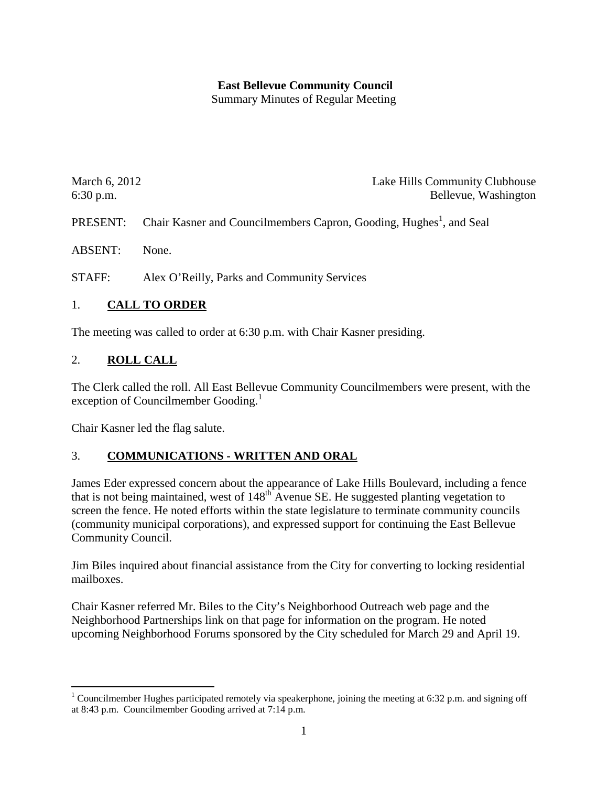### **East Bellevue Community Council**

Summary Minutes of Regular Meeting

| March 6, 2012 | Lake Hills Community Clubhouse |
|---------------|--------------------------------|
| $6:30$ p.m.   | Bellevue, Washington           |

PRESENT: Chair Kasner and Councilmembers Capron, Gooding, Hughes<sup>1</sup>, and Seal

ABSENT: None.

STAFF: Alex O'Reilly, Parks and Community Services

#### 1. **CALL TO ORDER**

The meeting was called to order at 6:30 p.m. with Chair Kasner presiding.

#### 2. **ROLL CALL**

The Clerk called the roll. All East Bellevue Community Councilmembers were present, with the exception of Councilmember Gooding. $<sup>1</sup>$  $<sup>1</sup>$  $<sup>1</sup>$ </sup>

Chair Kasner led the flag salute.

#### 3. **COMMUNICATIONS - WRITTEN AND ORAL**

James Eder expressed concern about the appearance of Lake Hills Boulevard, including a fence that is not being maintained, west of  $148<sup>th</sup>$  Avenue SE. He suggested planting vegetation to screen the fence. He noted efforts within the state legislature to terminate community councils (community municipal corporations), and expressed support for continuing the East Bellevue Community Council.

Jim Biles inquired about financial assistance from the City for converting to locking residential mailboxes.

Chair Kasner referred Mr. Biles to the City's Neighborhood Outreach web page and the Neighborhood Partnerships link on that page for information on the program. He noted upcoming Neighborhood Forums sponsored by the City scheduled for March 29 and April 19.

<span id="page-0-0"></span><sup>&</sup>lt;sup>1</sup> Councilmember Hughes participated remotely via speakerphone, joining the meeting at 6:32 p.m. and signing off at 8:43 p.m. Councilmember Gooding arrived at 7:14 p.m.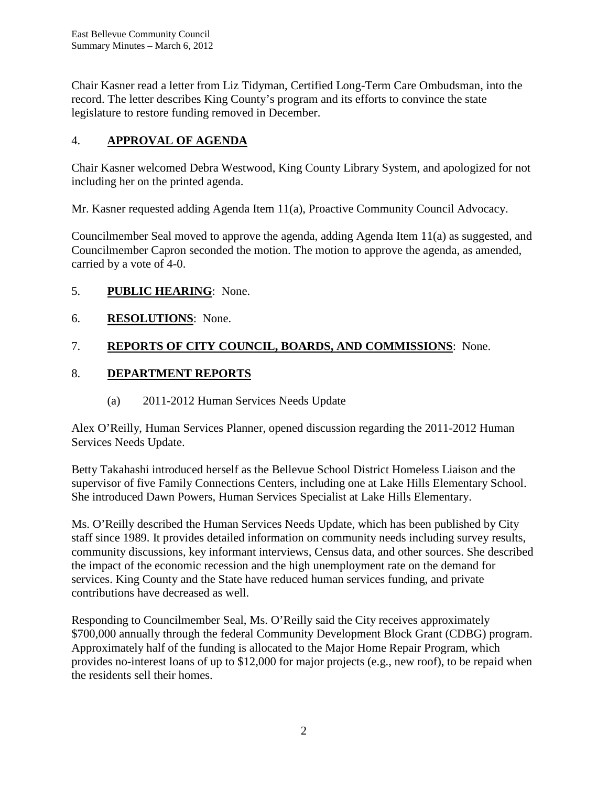Chair Kasner read a letter from Liz Tidyman, Certified Long-Term Care Ombudsman, into the record. The letter describes King County's program and its efforts to convince the state legislature to restore funding removed in December.

## 4. **APPROVAL OF AGENDA**

Chair Kasner welcomed Debra Westwood, King County Library System, and apologized for not including her on the printed agenda.

Mr. Kasner requested adding Agenda Item 11(a), Proactive Community Council Advocacy.

Councilmember Seal moved to approve the agenda, adding Agenda Item 11(a) as suggested, and Councilmember Capron seconded the motion. The motion to approve the agenda, as amended, carried by a vote of 4-0.

### 5. **PUBLIC HEARING**: None.

### 6. **RESOLUTIONS**: None.

# 7. **REPORTS OF CITY COUNCIL, BOARDS, AND COMMISSIONS**: None.

### 8. **DEPARTMENT REPORTS**

(a) 2011-2012 Human Services Needs Update

Alex O'Reilly, Human Services Planner, opened discussion regarding the 2011-2012 Human Services Needs Update.

Betty Takahashi introduced herself as the Bellevue School District Homeless Liaison and the supervisor of five Family Connections Centers, including one at Lake Hills Elementary School. She introduced Dawn Powers, Human Services Specialist at Lake Hills Elementary.

Ms. O'Reilly described the Human Services Needs Update, which has been published by City staff since 1989. It provides detailed information on community needs including survey results, community discussions, key informant interviews, Census data, and other sources. She described the impact of the economic recession and the high unemployment rate on the demand for services. King County and the State have reduced human services funding, and private contributions have decreased as well.

Responding to Councilmember Seal, Ms. O'Reilly said the City receives approximately \$700,000 annually through the federal Community Development Block Grant (CDBG) program. Approximately half of the funding is allocated to the Major Home Repair Program, which provides no-interest loans of up to \$12,000 for major projects (e.g., new roof), to be repaid when the residents sell their homes.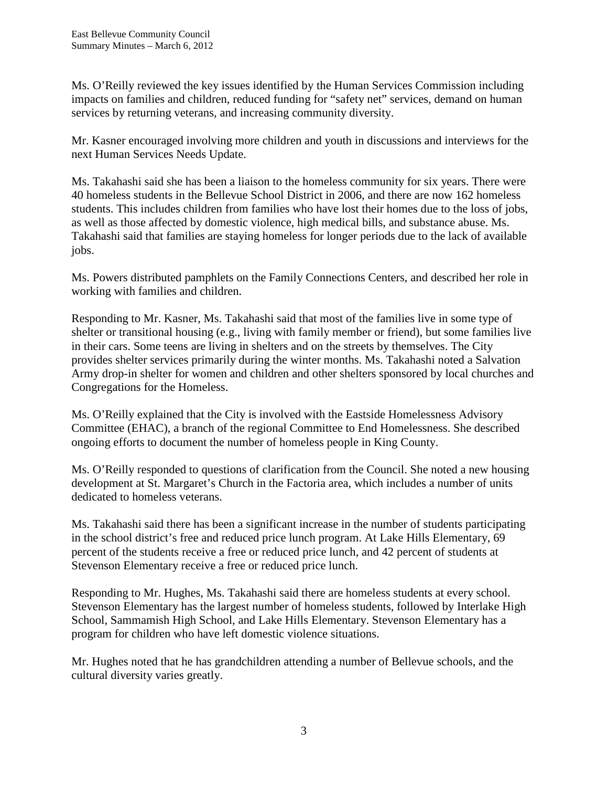Ms. O'Reilly reviewed the key issues identified by the Human Services Commission including impacts on families and children, reduced funding for "safety net" services, demand on human services by returning veterans, and increasing community diversity.

Mr. Kasner encouraged involving more children and youth in discussions and interviews for the next Human Services Needs Update.

Ms. Takahashi said she has been a liaison to the homeless community for six years. There were 40 homeless students in the Bellevue School District in 2006, and there are now 162 homeless students. This includes children from families who have lost their homes due to the loss of jobs, as well as those affected by domestic violence, high medical bills, and substance abuse. Ms. Takahashi said that families are staying homeless for longer periods due to the lack of available jobs.

Ms. Powers distributed pamphlets on the Family Connections Centers, and described her role in working with families and children.

Responding to Mr. Kasner, Ms. Takahashi said that most of the families live in some type of shelter or transitional housing (e.g., living with family member or friend), but some families live in their cars. Some teens are living in shelters and on the streets by themselves. The City provides shelter services primarily during the winter months. Ms. Takahashi noted a Salvation Army drop-in shelter for women and children and other shelters sponsored by local churches and Congregations for the Homeless.

Ms. O'Reilly explained that the City is involved with the Eastside Homelessness Advisory Committee (EHAC), a branch of the regional Committee to End Homelessness. She described ongoing efforts to document the number of homeless people in King County.

Ms. O'Reilly responded to questions of clarification from the Council. She noted a new housing development at St. Margaret's Church in the Factoria area, which includes a number of units dedicated to homeless veterans.

Ms. Takahashi said there has been a significant increase in the number of students participating in the school district's free and reduced price lunch program. At Lake Hills Elementary, 69 percent of the students receive a free or reduced price lunch, and 42 percent of students at Stevenson Elementary receive a free or reduced price lunch.

Responding to Mr. Hughes, Ms. Takahashi said there are homeless students at every school. Stevenson Elementary has the largest number of homeless students, followed by Interlake High School, Sammamish High School, and Lake Hills Elementary. Stevenson Elementary has a program for children who have left domestic violence situations.

Mr. Hughes noted that he has grandchildren attending a number of Bellevue schools, and the cultural diversity varies greatly.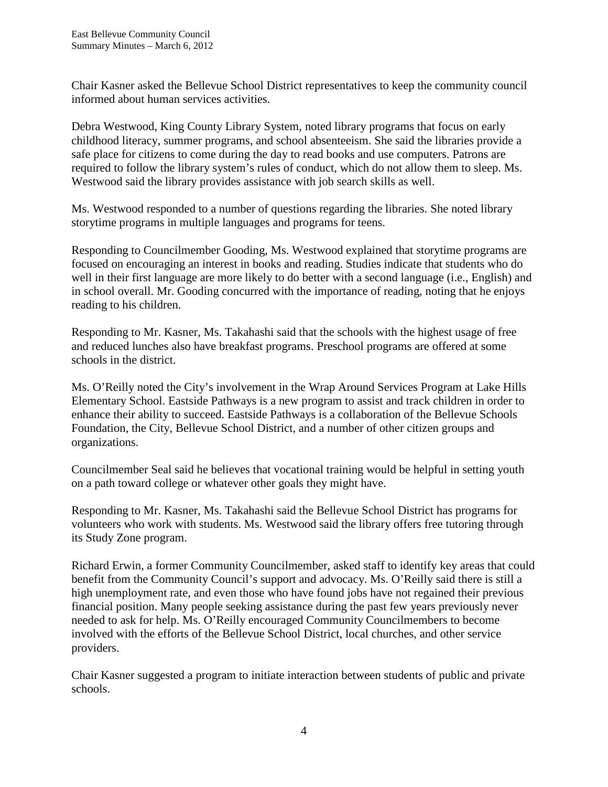Chair Kasner asked the Bellevue School District representatives to keep the community council informed about human services activities.

Debra Westwood, King County Library System, noted library programs that focus on early childhood literacy, summer programs, and school absenteeism. She said the libraries provide a safe place for citizens to come during the day to read books and use computers. Patrons are required to follow the library system's rules of conduct, which do not allow them to sleep. Ms. Westwood said the library provides assistance with job search skills as well.

Ms. Westwood responded to a number of questions regarding the libraries. She noted library storytime programs in multiple languages and programs for teens.

Responding to Councilmember Gooding, Ms. Westwood explained that storytime programs are focused on encouraging an interest in books and reading. Studies indicate that students who do well in their first language are more likely to do better with a second language (i.e., English) and in school overall. Mr. Gooding concurred with the importance of reading, noting that he enjoys reading to his children.

Responding to Mr. Kasner, Ms. Takahashi said that the schools with the highest usage of free and reduced lunches also have breakfast programs. Preschool programs are offered at some schools in the district.

Ms. O'Reilly noted the City's involvement in the Wrap Around Services Program at Lake Hills Elementary School. Eastside Pathways is a new program to assist and track children in order to enhance their ability to succeed. Eastside Pathways is a collaboration of the Bellevue Schools Foundation, the City, Bellevue School District, and a number of other citizen groups and organizations.

Councilmember Seal said he believes that vocational training would be helpful in setting youth on a path toward college or whatever other goals they might have.

Responding to Mr. Kasner, Ms. Takahashi said the Bellevue School District has programs for volunteers who work with students. Ms. Westwood said the library offers free tutoring through its Study Zone program.

Richard Erwin, a former Community Councilmember, asked staff to identify key areas that could benefit from the Community Council's support and advocacy. Ms. O'Reilly said there is still a high unemployment rate, and even those who have found jobs have not regained their previous financial position. Many people seeking assistance during the past few years previously never needed to ask for help. Ms. O'Reilly encouraged Community Councilmembers to become involved with the efforts of the Bellevue School District, local churches, and other service providers.

Chair Kasner suggested a program to initiate interaction between students of public and private schools.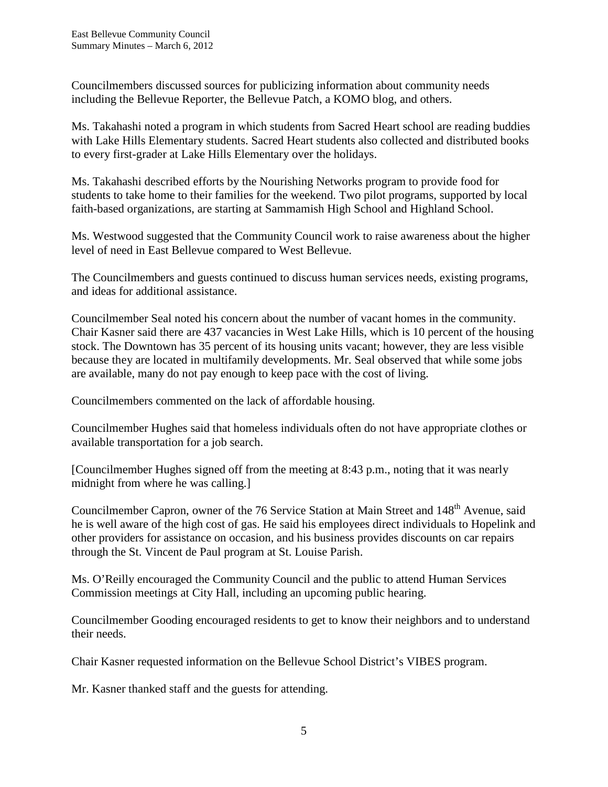Councilmembers discussed sources for publicizing information about community needs including the Bellevue Reporter, the Bellevue Patch, a KOMO blog, and others.

Ms. Takahashi noted a program in which students from Sacred Heart school are reading buddies with Lake Hills Elementary students. Sacred Heart students also collected and distributed books to every first-grader at Lake Hills Elementary over the holidays.

Ms. Takahashi described efforts by the Nourishing Networks program to provide food for students to take home to their families for the weekend. Two pilot programs, supported by local faith-based organizations, are starting at Sammamish High School and Highland School.

Ms. Westwood suggested that the Community Council work to raise awareness about the higher level of need in East Bellevue compared to West Bellevue.

The Councilmembers and guests continued to discuss human services needs, existing programs, and ideas for additional assistance.

Councilmember Seal noted his concern about the number of vacant homes in the community. Chair Kasner said there are 437 vacancies in West Lake Hills, which is 10 percent of the housing stock. The Downtown has 35 percent of its housing units vacant; however, they are less visible because they are located in multifamily developments. Mr. Seal observed that while some jobs are available, many do not pay enough to keep pace with the cost of living.

Councilmembers commented on the lack of affordable housing.

Councilmember Hughes said that homeless individuals often do not have appropriate clothes or available transportation for a job search.

[Councilmember Hughes signed off from the meeting at 8:43 p.m., noting that it was nearly midnight from where he was calling.]

Councilmember Capron, owner of the 76 Service Station at Main Street and 148<sup>th</sup> Avenue, said he is well aware of the high cost of gas. He said his employees direct individuals to Hopelink and other providers for assistance on occasion, and his business provides discounts on car repairs through the St. Vincent de Paul program at St. Louise Parish.

Ms. O'Reilly encouraged the Community Council and the public to attend Human Services Commission meetings at City Hall, including an upcoming public hearing.

Councilmember Gooding encouraged residents to get to know their neighbors and to understand their needs.

Chair Kasner requested information on the Bellevue School District's VIBES program.

Mr. Kasner thanked staff and the guests for attending.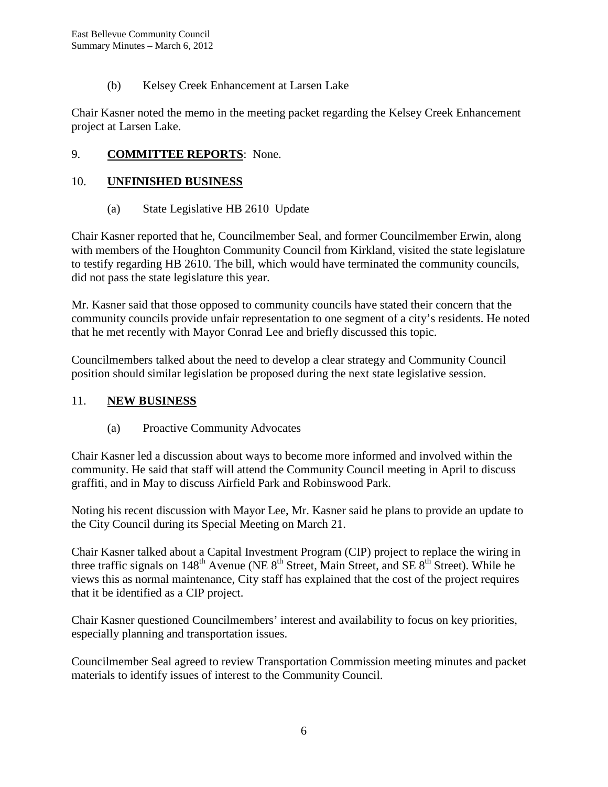(b) Kelsey Creek Enhancement at Larsen Lake

Chair Kasner noted the memo in the meeting packet regarding the Kelsey Creek Enhancement project at Larsen Lake.

#### 9. **COMMITTEE REPORTS**: None.

#### 10. **UNFINISHED BUSINESS**

(a) State Legislative HB 2610 Update

Chair Kasner reported that he, Councilmember Seal, and former Councilmember Erwin, along with members of the Houghton Community Council from Kirkland, visited the state legislature to testify regarding HB 2610. The bill, which would have terminated the community councils, did not pass the state legislature this year.

Mr. Kasner said that those opposed to community councils have stated their concern that the community councils provide unfair representation to one segment of a city's residents. He noted that he met recently with Mayor Conrad Lee and briefly discussed this topic.

Councilmembers talked about the need to develop a clear strategy and Community Council position should similar legislation be proposed during the next state legislative session.

#### 11. **NEW BUSINESS**

#### (a) Proactive Community Advocates

Chair Kasner led a discussion about ways to become more informed and involved within the community. He said that staff will attend the Community Council meeting in April to discuss graffiti, and in May to discuss Airfield Park and Robinswood Park.

Noting his recent discussion with Mayor Lee, Mr. Kasner said he plans to provide an update to the City Council during its Special Meeting on March 21.

Chair Kasner talked about a Capital Investment Program (CIP) project to replace the wiring in three traffic signals on  $148<sup>th</sup>$  Avenue (NE  $8<sup>th</sup>$  Street, Main Street, and SE  $8<sup>th</sup>$  Street). While he views this as normal maintenance, City staff has explained that the cost of the project requires that it be identified as a CIP project.

Chair Kasner questioned Councilmembers' interest and availability to focus on key priorities, especially planning and transportation issues.

Councilmember Seal agreed to review Transportation Commission meeting minutes and packet materials to identify issues of interest to the Community Council.